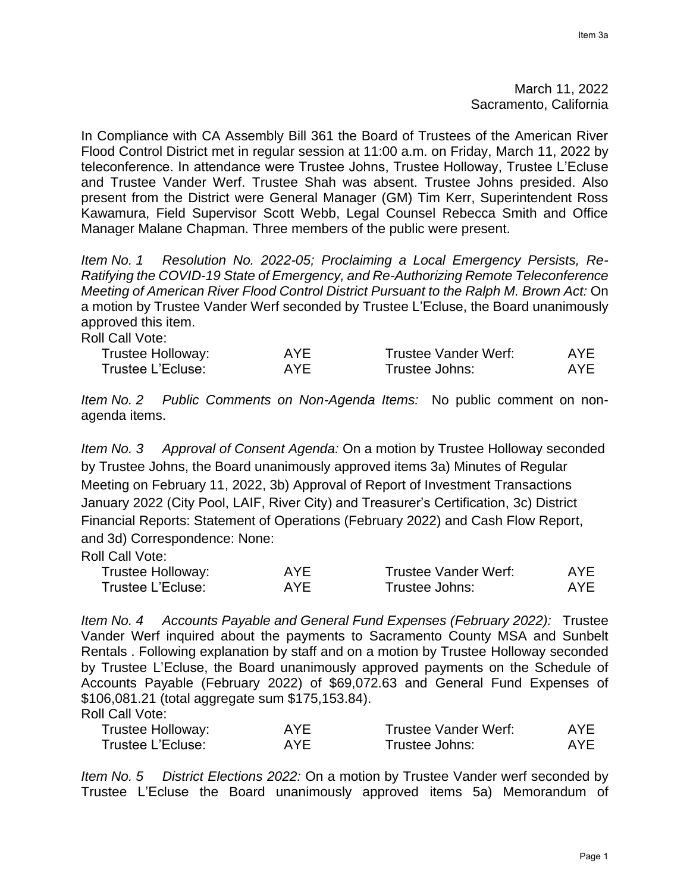## March 11, 2022 Sacramento, California

In Compliance with CA Assembly Bill 361 the Board of Trustees of the American River Flood Control District met in regular session at 11:00 a.m. on Friday, March 11, 2022 by teleconference. In attendance were Trustee Johns, Trustee Holloway, Trustee L'Ecluse and Trustee Vander Werf. Trustee Shah was absent. Trustee Johns presided. Also present from the District were General Manager (GM) Tim Kerr, Superintendent Ross Kawamura, Field Supervisor Scott Webb, Legal Counsel Rebecca Smith and Office Manager Malane Chapman. Three members of the public were present.

*Item No. 1 Resolution No. 2022-05; Proclaiming a Local Emergency Persists, Re-Ratifying the COVID-19 State of Emergency, and Re-Authorizing Remote Teleconference Meeting of American River Flood Control District Pursuant to the Ralph M. Brown Act:* On a motion by Trustee Vander Werf seconded by Trustee L'Ecluse, the Board unanimously approved this item.

Roll Call Vote:

| Trustee Holloway: | AYF | Trustee Vander Werf: | AYE |
|-------------------|-----|----------------------|-----|
| Trustee L'Ecluse: | AYF | Trustee Johns:       | AYF |

*Item No. 2 Public Comments on Non-Agenda Items:* No public comment on nonagenda items.

*Item No. 3 Approval of Consent Agenda:* On a motion by Trustee Holloway seconded by Trustee Johns, the Board unanimously approved items 3a) Minutes of Regular Meeting on February 11, 2022, 3b) Approval of Report of Investment Transactions January 2022 (City Pool, LAIF, River City) and Treasurer's Certification, 3c) District Financial Reports: Statement of Operations (February 2022) and Cash Flow Report, and 3d) Correspondence: None:

Roll Call Vote:

| Trustee Holloway: | AYF | Trustee Vander Werf: | AYE |
|-------------------|-----|----------------------|-----|
| Trustee L'Ecluse: | AYF | Trustee Johns:       | AYF |

*Item No. 4 Accounts Payable and General Fund Expenses (February 2022):* Trustee Vander Werf inquired about the payments to Sacramento County MSA and Sunbelt Rentals . Following explanation by staff and on a motion by Trustee Holloway seconded by Trustee L'Ecluse, the Board unanimously approved payments on the Schedule of Accounts Payable (February 2022) of \$69,072.63 and General Fund Expenses of \$106,081.21 (total aggregate sum \$175,153.84).

Roll Call Vote:

| Trustee Holloway: | AYE. | Trustee Vander Werf: | AYE        |
|-------------------|------|----------------------|------------|
| Trustee L'Ecluse: | AYE  | Trustee Johns:       | <b>AYE</b> |

*Item No. 5 District Elections 2022:* On a motion by Trustee Vander werf seconded by Trustee L'Ecluse the Board unanimously approved items 5a) Memorandum of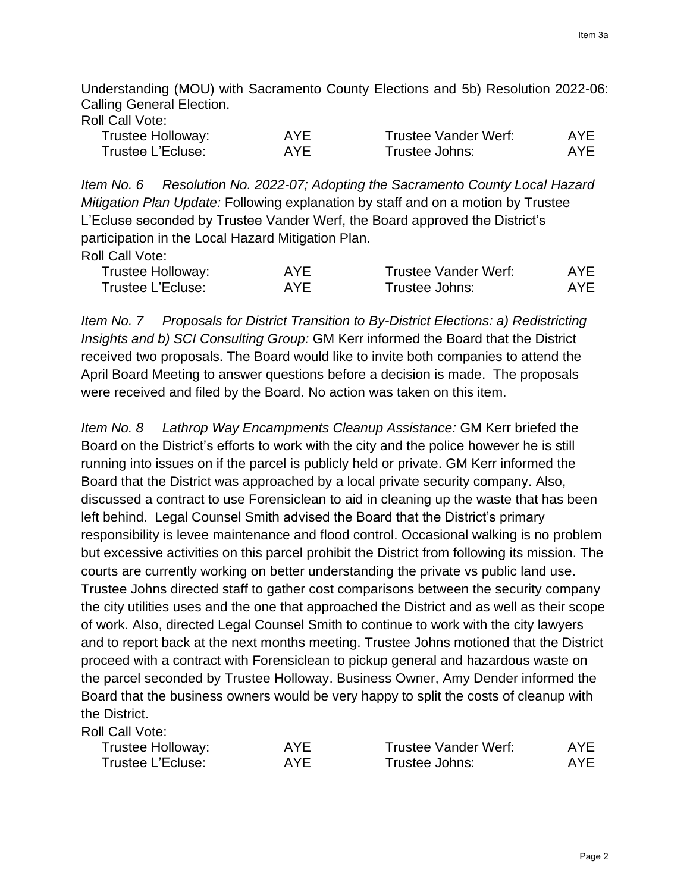Understanding (MOU) with Sacramento County Elections and 5b) Resolution 2022-06: Calling General Election.

|  |  | Roll Call Vote: |
|--|--|-----------------|
|--|--|-----------------|

| Trustee Holloway: | AYF | <b>Trustee Vander Werf:</b> | AYE |
|-------------------|-----|-----------------------------|-----|
| Trustee L'Ecluse: | AYF | Trustee Johns:              | AYF |

*Item No. 6 Resolution No. 2022-07; Adopting the Sacramento County Local Hazard Mitigation Plan Update:* Following explanation by staff and on a motion by Trustee L'Ecluse seconded by Trustee Vander Werf, the Board approved the District's participation in the Local Hazard Mitigation Plan. Roll Call Vote:

| Trustee Holloway: | <b>AYE</b> | Trustee Vander Werf: | AYE. |
|-------------------|------------|----------------------|------|
| Trustee L'Ecluse: | AYE        | Trustee Johns:       | AYE. |

*Item No. 7 Proposals for District Transition to By-District Elections: a) Redistricting Insights and b) SCI Consulting Group:* GM Kerr informed the Board that the District received two proposals. The Board would like to invite both companies to attend the April Board Meeting to answer questions before a decision is made. The proposals were received and filed by the Board. No action was taken on this item.

*Item No. 8 Lathrop Way Encampments Cleanup Assistance:* GM Kerr briefed the Board on the District's efforts to work with the city and the police however he is still running into issues on if the parcel is publicly held or private. GM Kerr informed the Board that the District was approached by a local private security company. Also, discussed a contract to use Forensiclean to aid in cleaning up the waste that has been left behind. Legal Counsel Smith advised the Board that the District's primary responsibility is levee maintenance and flood control. Occasional walking is no problem but excessive activities on this parcel prohibit the District from following its mission. The courts are currently working on better understanding the private vs public land use. Trustee Johns directed staff to gather cost comparisons between the security company the city utilities uses and the one that approached the District and as well as their scope of work. Also, directed Legal Counsel Smith to continue to work with the city lawyers and to report back at the next months meeting. Trustee Johns motioned that the District proceed with a contract with Forensiclean to pickup general and hazardous waste on the parcel seconded by Trustee Holloway. Business Owner, Amy Dender informed the Board that the business owners would be very happy to split the costs of cleanup with the District.

## Roll Call Vote:

| Trustee Holloway: | AYE | Trustee Vander Werf: | AYE. |
|-------------------|-----|----------------------|------|
| Trustee L'Ecluse: | AYF | Trustee Johns:       | AYE. |